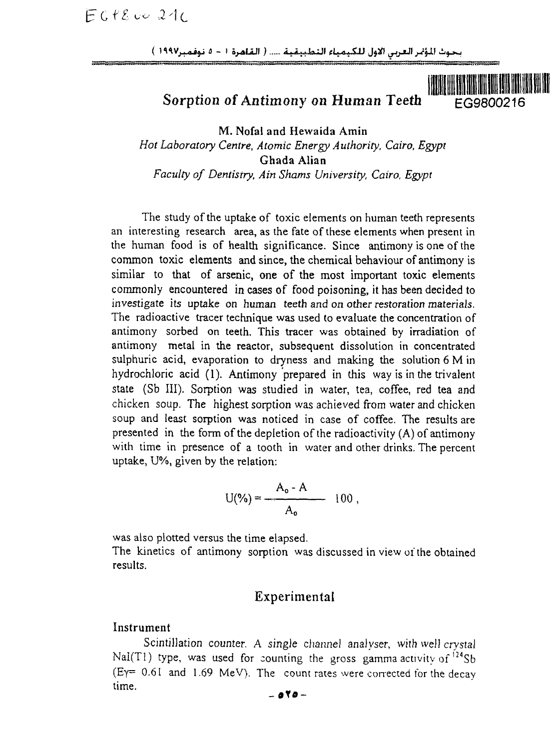بحوث المؤتمر العربي الأول للكيمياء التطبيقية ..... ( القاهرة ١ - ٥ نوفمبر١٩٩٧ )

Sorption of Antimony on Human Teeth  $E<sub>CG9800216</sub>$ 

M. Nofal and Hewaida Amin *Hot Laboratory Centre, Atomic Energy Authority, Cairo, Egypt* Ghada Alian *Faculty of Dentistry, Ain Shams University, Cairo, Egypt*

The study of the uptake of toxic elements on human teeth represents an interesting research area, as the fate of these elements when present in the human food is of health significance. Since antimony is one of the common toxic elements and since, the chemical behaviour of antimony is similar to that of arsenic, one of the most important toxic elements commonly encountered in cases of food poisoning, it has been decided to investigate its uptake on human teeth and on other restoration materials. The radioactive tracer technique was used to evaluate the concentration of antimony sorbed on teeth. This tracer was obtained by irradiation of antimony metal in the reactor, subsequent dissolution in concentrated sulphuric acid, evaporation to dryness and making the solution 6 M in hydrochloric acid (1). Antimony prepared in this way is in the trivalent state (Sb III). Sorption was studied in water, tea, coffee, red tea and chicken soup. The highest sorption was achieved from water and chicken soup and least sorption was noticed in case of coffee. The results are presented in the form of the depletion of the radioactivity (A) of antimony with time in presence of a tooth in water and other drinks. The percent uptake, U%, given by the relation:

$$
U(\%) = \frac{A_o - A}{A_o} \quad 100 \ ,
$$

was also plotted versus the time elapsed.

The kinetics of antimony sorption was discussed in view of the obtained results.

## Experimental

#### Instrument

Scintillation counter. A single channel analyser, with well crystal Nal(T1) type, was used for counting the gross gamma activity of  $124$ Sb  $(E_Y = 0.61$  and 1.69 MeV). The count rates were corrected for the decay time.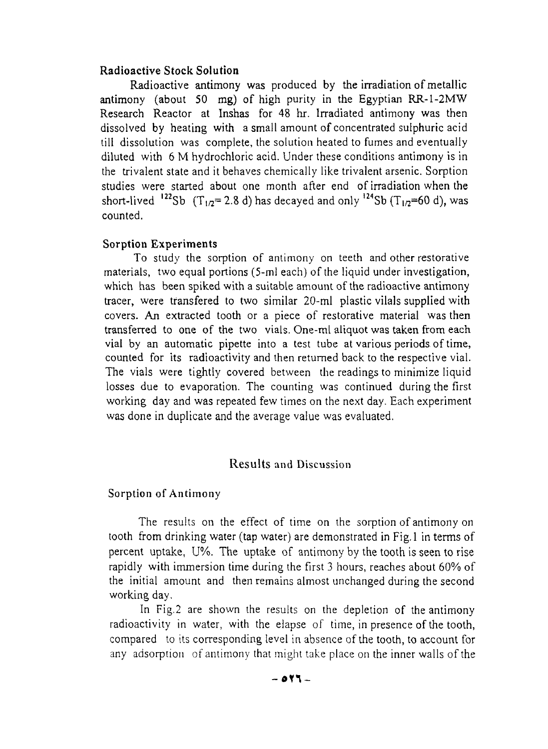### **Radioactive Stock Solution**

Radioactive antimony was produced by the irradiation of metallic antimony (about 50 mg) of high purity in the Egyptian RR-1-2MW Research Reactor at Inshas for 48 hr. Irradiated antimony was then dissolved by heating with a small amount of concentrated sulphuric acid till dissolution was complete, the solution heated to fumes and eventually diluted with 6 M hydrochloric acid. Under these conditions antimony is in the trivalent state and it behaves chemically like trivalent arsenic. Sorption studies were started about one month after end of irradiation when the short-lived  $^{122}$ Sb (T<sub>1/2</sub>=2.8 d) has decayed and only  $^{124}$ Sb (T<sub>1/2</sub>=60 d), was counted.

#### **Sorption Experiments**

To study the sorption of antimony on teeth and other restorative materials, two equal portions (5-ml each) of the liquid under investigation, which has been spiked with a suitable amount of the radioactive antimony tracer, were transfered to two similar 20-ml plastic vilals supplied with covers. An extracted tooth or a piece of restorative material was then transferred to one of the two vials. One-ml aliquot was taken from each vial by an automatic pipette into a test tube at various periods of time, counted for its radioactivity and then returned back to the respective vial. The vials were tightly covered between the readings to minimize liquid losses due to evaporation. The counting was continued during the first working day and was repeated few times on the next day. Each experiment was done in duplicate and the average value was evaluated.

### Results and Discussion

#### Sorption of Antimony

The results on the effect of time on the sorption of antimony on tooth from drinking water (tap water) are demonstrated in Fig. 1 in terms of percent uptake, U%. The uptake of antimony by the tooth is seen to rise rapidly with immersion time during the first 3 hours, reaches about 60% of the initial amount and then remains almost unchanged during the second working day.

In Fig.2 are shown the results on the depletion of the antimony radioactivity in water, with the elapse of time, in presence of the tooth, compared to its corresponding level in absence of the tooth, to account for any adsorption of antimony that might take place on the inner walls of the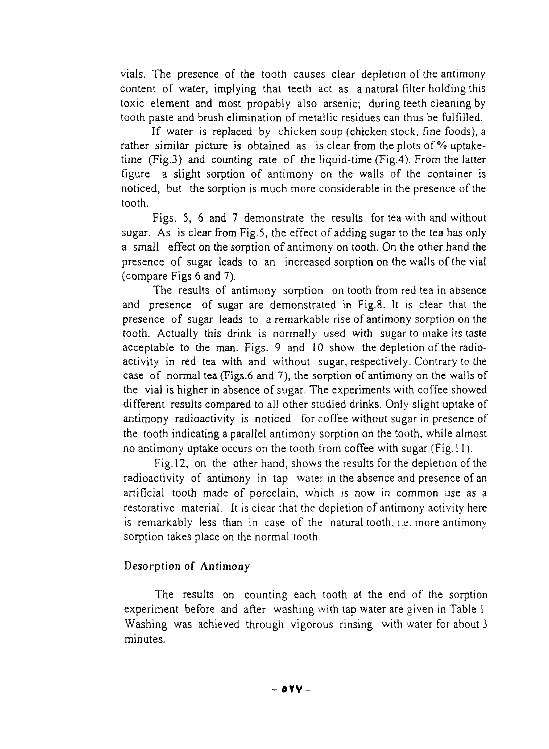vials. The presence of the tooth causes clear depletion ot the antimony content of water, implying that teeth act as a natural filter holding this toxic element and most propably also arsenic; during teeth cleaning by tooth paste and brush elimination of metallic residues can thus be fulfilled.

If water is replaced by chicken soup (chicken stock, fine foods), a rather similar picture is obtained as is clear from the plots of % uptaketime (Fig.3) and counting rate of the liquid-time (Fig.4). From the latter figure a slight sorption of antimony on the walls of the container is noticed, but the sorption is much more considerable in the presence of the tooth.

Figs. 5, 6 and 7 demonstrate the results for tea with and without sugar. As is clear from Fig.5, the effect of adding sugar to the tea has only a small effect on the sorption of antimony on tooth. On the other hand the presence of sugar leads to an increased sorption on the walls of the vial (compare Figs 6 and 7).

The results of antimony sorption on tooth from red tea in absence and presence of sugar are demonstrated in Fig.8. It is clear that the presence of sugar leads to a remarkable rise of antimony sorption on the tooth. Actually this drink is normally used with sugar to make its taste acceptable to the man. Figs. 9 and 10 show the depletion of the radioactivity in red tea with and without sugar, respectively. Contrary to the case of normal tea (Figs.6 and 7), the sorption of antimony on the walls of the vial is higher in absence of sugar. The experiments with coffee showed different results compared to all other studied drinks. Only slight uptake of antimony radioactivity is noticed for coffee without sugar in presence of the tooth indicating a parallel antimony sorption on the tooth, while almost no antimony uptake occurs on the tooth from coffee with sugar (Fig. 11).

Fig. 12, on the other hand, shows the results for the depletion of the radioactivity of antimony in tap water in the absence and presence of an artificial tooth made of porcelain, which is now in common use as a restorative material. It is clear that the depletion of antimony activity here is remarkably less than in case of the natural tooth, i.e. more antimony sorption takes place on the normal tooth.

### Desorption of Antimony

The results on counting each tooth at the end of the sorption experiment before and after washing with tap water are given in Table 1 Washing was achieved through vigorous rinsing with water for about 3 minutes.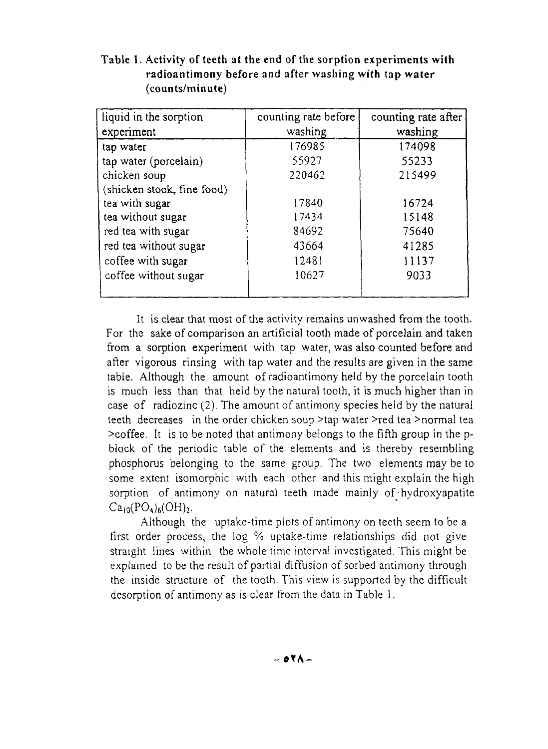| liquid in the sorption     | counting rate before | counting rate after |
|----------------------------|----------------------|---------------------|
| experiment                 | washing              | washing             |
| tap water                  | 176985               | 174098              |
| tap water (porcelain)      | 55927                | 55233               |
| chicken soup               | 220462               | 215499              |
| (shicken stook, fine food) |                      |                     |
| tea with sugar             | 17840                | 16724               |
| tea without sugar          | 17434                | 15148               |
| red tea with sugar         | 84692                | 75640               |
| red tea without sugar      | 43664                | 41285               |
| coffee with sugar          | 12481                | 11137               |
| coffee without sugar       | 10627                | 9033                |
|                            |                      |                     |

**Table 1. Activity of teeth at the** end of the **sorption experiments with radioantimony before** and **after washing with tap water (counts/minute)**

It is clear that most of the activity remains unwashed from the tooth. For the sake of comparison an artificial tooth made of porcelain and taken from a sorption experiment with tap water, was also counted before and after vigorous rinsing with tap water and the results are given in the same table. Although the amount of radioantimony held by the porcelain tooth is much less than that held by the natural tooth, it is much higher than in case of radiozinc (2). The amount of antimony species held by the natural teeth decreases in the order chicken soup >tap water >red tea >normal tea >coffee. It is to be noted that antimony belongs to the fifth group in the pblock of the periodic table of the elements and is thereby resembling phosphorus belonging to the same group. The two elements may be to some extent isomorphic with each other and this might explain the high sorption of antimony on natural teeth made mainly of hydroxyapatite  $Ca<sub>10</sub>(PO<sub>4</sub>)<sub>6</sub>(OH)<sub>2</sub>.$ 

Although the uptake-time plots of antimony on teeth seem to be a first order process, the log % uptake-time relationships did not give straight lines within the whole time interval investigated. This might be explained to be the result of partial diffusion of sorbed antimony through the inside structure of the tooth. This view is supported by the difficult desorption of antimony as is clear from the data in Table 1.

**-OTA -**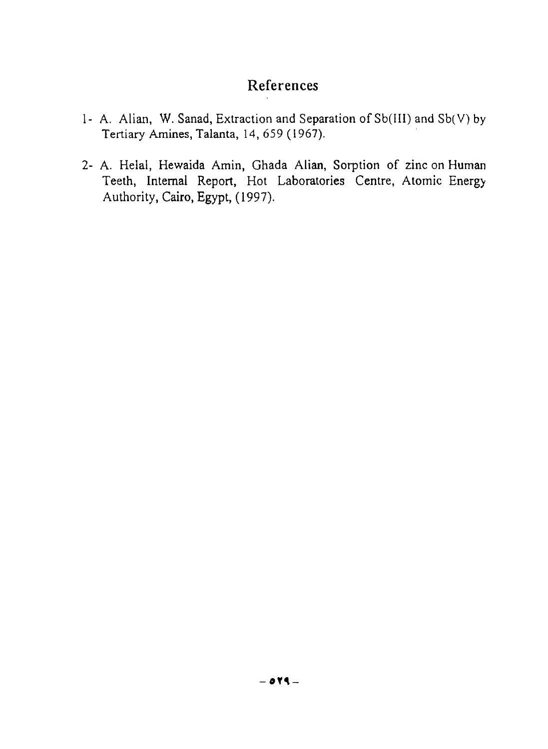# References

- 1- A. Alian, W. Sanad, Extraction and Separation of Sb(III) and Sb(V) by Tertiary Amines, Talanta, 14, 659 (1967).
- 2- A. Helal, Hewaida Amin, Ghada Alian, Sorption of zinc on Human Teeth, Internal Report, Hot Laboratories Centre, Atomic Energy Authority, Cairo, Egypt, (1997).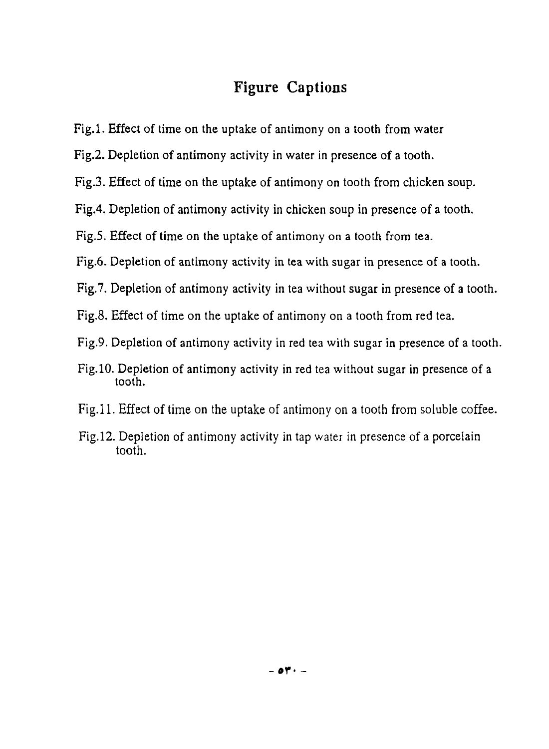# Figure Captions

- Fig.l. Effect of time on the uptake of antimony on a tooth from water
- Fig.2. Depletion of antimony activity in water in presence of a tooth.
- Fig.3. Effect of time on the uptake of antimony on tooth from chicken soup.
- Fig.4. Depletion of antimony activity in chicken soup in presence of a tooth.
- Fig.5. Effect of time on the uptake of antimony on a tooth from tea.
- Fig.6. Depletion of antimony activity in tea with sugar in presence of a tooth.
- Fig.7. Depletion of antimony activity in tea without sugar in presence of a tooth.
- Fig.8. Effect of time on the uptake of antimony on a tooth from red tea.
- Fig.9. Depletion of antimony activity in red tea with sugar in presence of a tooth.
- Fig. 10. Depletion of antimony activity in red tea without sugar in presence of a tooth.
- Fig.11. Effect of time on the uptake of antimony on a tooth from soluble coffee.
- Fig.12. Depletion of antimony activity in tap water in presence of a porcelain tooth.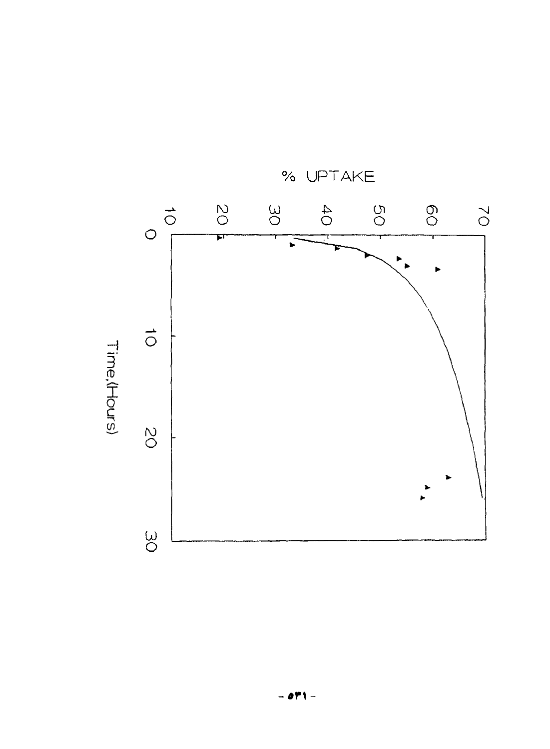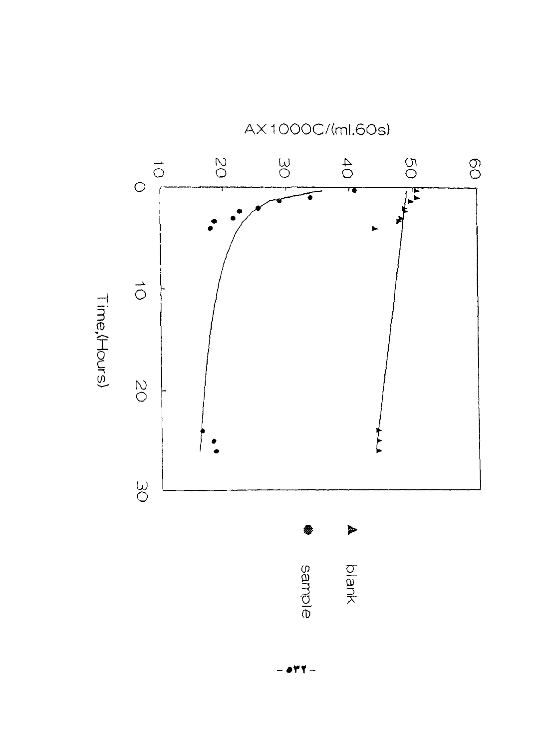

AX1000C/(ml.60s)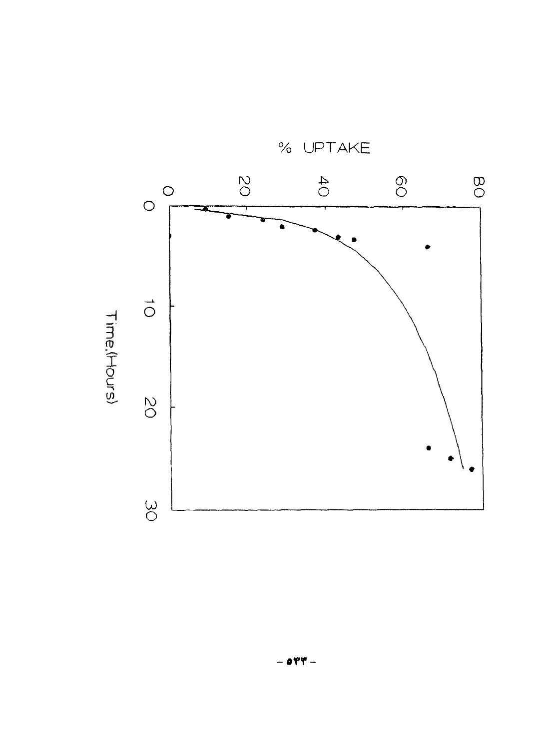

% UPTAKE

 $-$  orr  $-$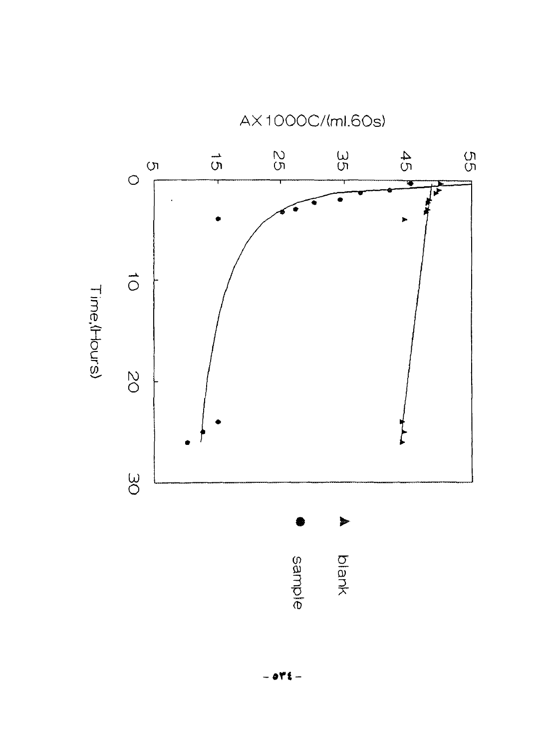

AX1000C/(ml.60s)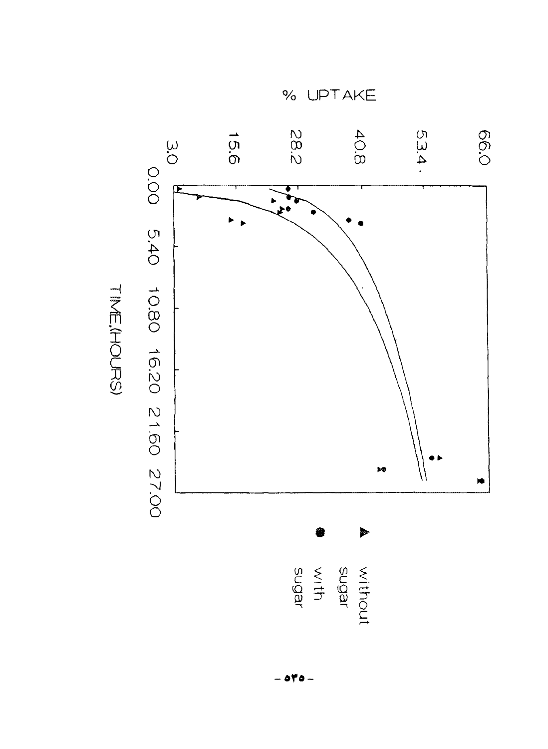

% UPTAKE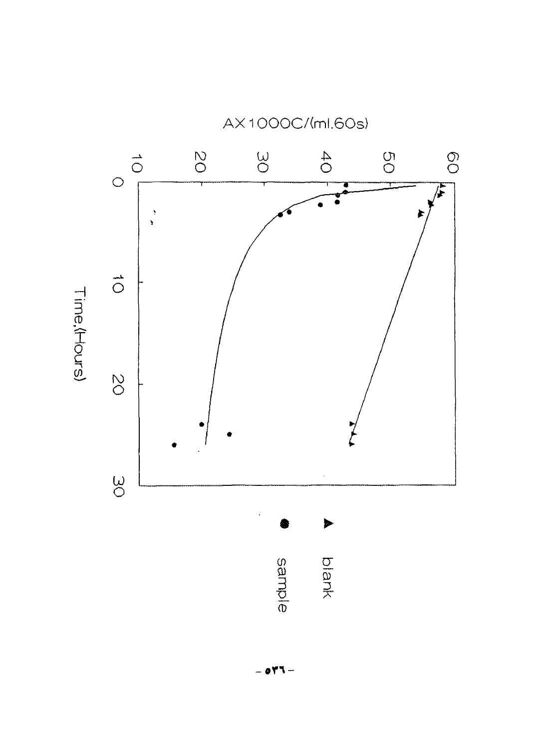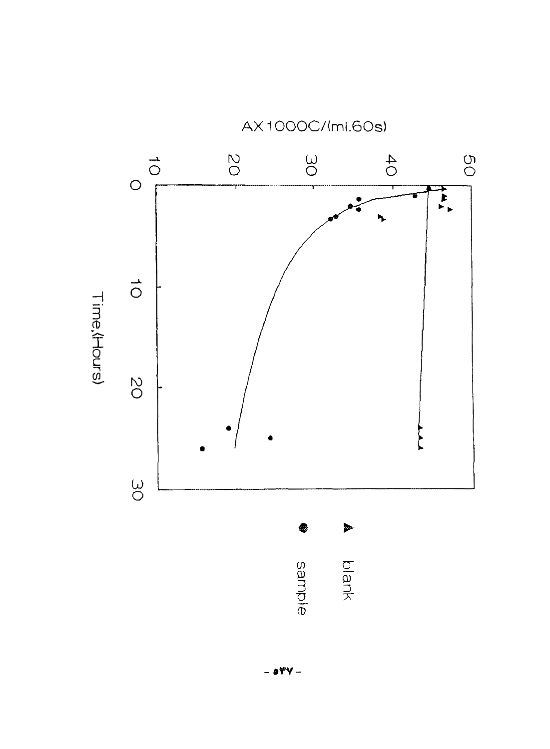

AX1000C/(ml.60s)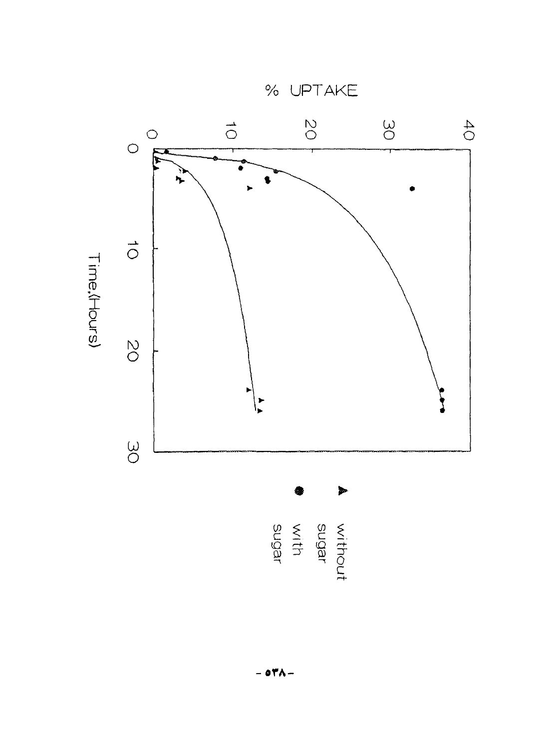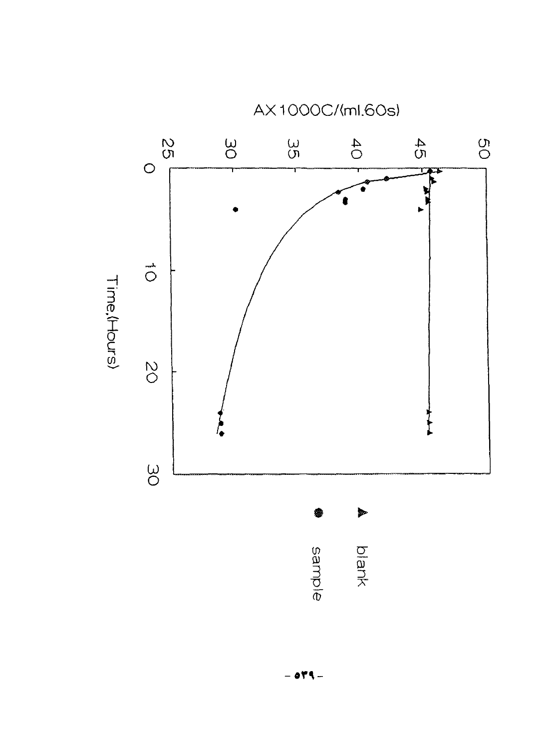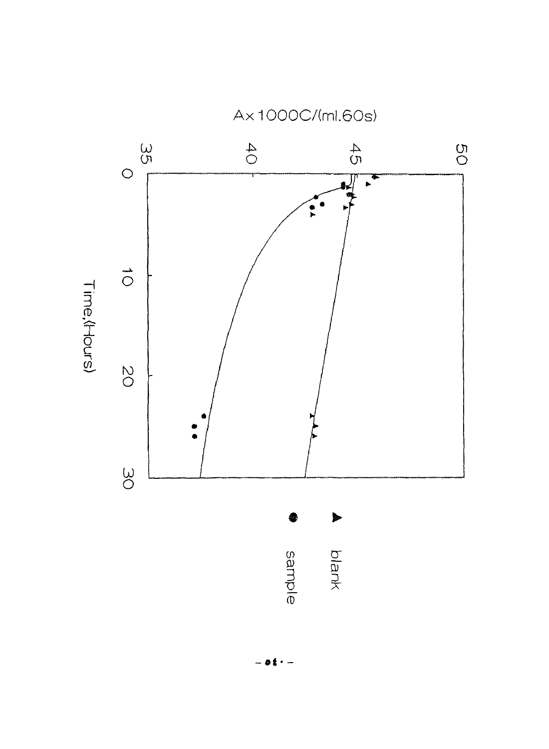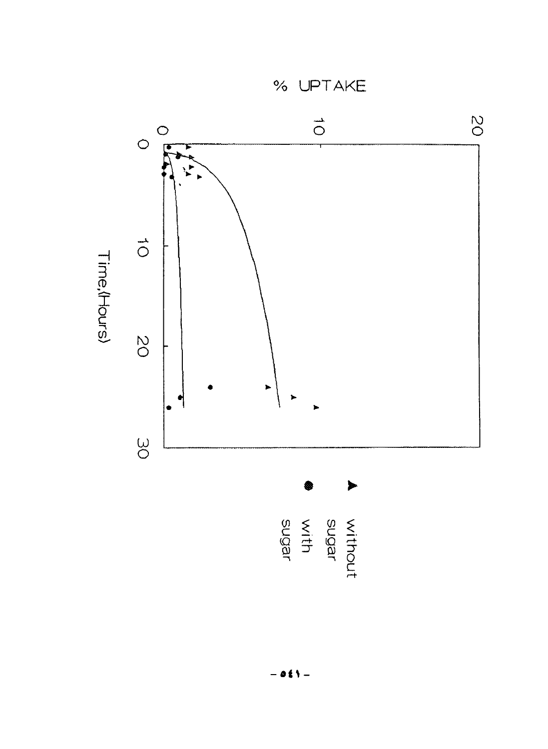% UPTAKE